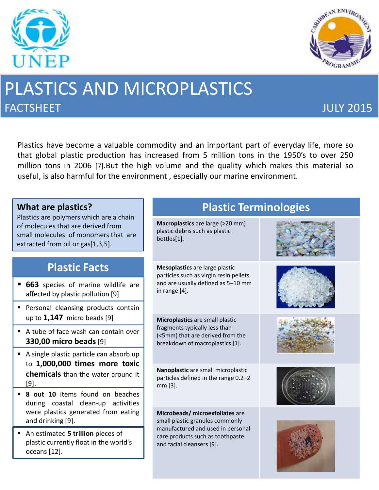



# PLASTICS AND MICROPLASTICS **FACTSHEET SECOND EXECUTIVE EXECUTIVE EXECUTIVE EXECUTIVE EXECUTIVE EXECUTIVE EXECUTIVE EXECUTIVE EXECUTIVE EXECUTIVE EXECUTIVE EXECUTIVE EXECUTIVE EXECUTIVE EXECUTIVE EXECUTIVE EXECUTIVE EXECUTIVE EXECUTIVE EXECUTIVE EX**

Plastics have become a valuable commodity and an important part of everyday life, more so that global plastic production has increased from 5 million tons in the 1950's to over 250 million tons in 2006 [7].But the high volume and the quality which makes this material so useful, is also harmful for the environment , especially our marine environment.

| What are plastics?<br>Plastics are polymers which are a chain<br>of molecules that are derived from<br>small molecules of monomers that are<br>extracted from oil or gas[1,3,5]. |  | <b>Plastic Terminologies</b>                                                                                                                                             |  |
|----------------------------------------------------------------------------------------------------------------------------------------------------------------------------------|--|--------------------------------------------------------------------------------------------------------------------------------------------------------------------------|--|
|                                                                                                                                                                                  |  | Macroplastics are large (>20 mm)<br>plastic debris such as plastic<br>bottles[1].                                                                                        |  |
| <b>Plastic Facts</b>                                                                                                                                                             |  | Mesoplastics are large plastic<br>particles such as virgin resin pellets<br>and are usually defined as 5-10 mm<br>in range [4].                                          |  |
| • 663 species of marine wildlife are<br>affected by plastic pollution [9]                                                                                                        |  |                                                                                                                                                                          |  |
| Personal cleansing products contain<br>up to $1,147$ micro beads [9]                                                                                                             |  | Microplastics are small plastic<br>fragments typically less than<br>(<5mm) that are derived from the<br>breakdown of macroplastics [1].                                  |  |
| A tube of face wash can contain over<br><b>330,00 micro beads [9]</b>                                                                                                            |  |                                                                                                                                                                          |  |
| A single plastic particle can absorb up<br>to 1,000,000 times more toxic                                                                                                         |  |                                                                                                                                                                          |  |
| chemicals than the water around it<br>$[9]$ .                                                                                                                                    |  | Nanoplastic are small microplastic<br>particles defined in the range 0.2-2<br>mm [3].                                                                                    |  |
| 8 out 10 items found on beaches<br>during coastal clean-up activities                                                                                                            |  |                                                                                                                                                                          |  |
| were plastics generated from eating<br>and drinking [9].                                                                                                                         |  | Microbeads/ microexfoliates are<br>small plastic granules commonly<br>manufactured and used in personal<br>care products such as toothpaste<br>and facial cleansers [9]. |  |
| An estimated 5 trillion pieces of<br>plastic currently float in the world's<br>oceans [12].                                                                                      |  |                                                                                                                                                                          |  |
|                                                                                                                                                                                  |  |                                                                                                                                                                          |  |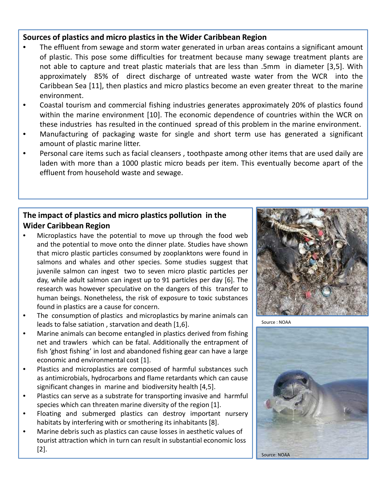#### **Sources of plastics and micro plastics in the Wider Caribbean Region**

- The effluent from sewage and storm water generated in urban areas contains a significant amount of plastic. This pose some difficulties for treatment because many sewage treatment plants are not able to capture and treat plastic materials that are less than .5mm in diameter [3,5]. With approximately 85% of direct discharge of untreated waste water from the WCR into the Caribbean Sea [11], then plastics and micro plastics become an even greater threat to the marine environment.
- Coastal tourism and commercial fishing industries generates approximately 20% of plastics found within the marine environment [10]. The economic dependence of countries within the WCR on these industries has resulted in the continued spread of this problem in the marine environment.
- Manufacturing of packaging waste for single and short term use has generated a significant amount of plastic marine litter.
- Personal care items such as facial cleansers , toothpaste among other items that are used daily are laden with more than a 1000 plastic micro beads per item. This eventually become apart of the effluent from household waste and sewage.

#### **The impact of plastics and micro plastics pollution in the Wider Caribbean Region**

- Microplastics have the potential to move up through the food web and the potential to move onto the dinner plate. Studies have shown that micro plastic particles consumed by zooplanktons were found in salmons and whales and other species. Some studies suggest that juvenile salmon can ingest two to seven micro plastic particles per day, while adult salmon can ingest up to 91 particles per day [6]. The research was however speculative on the dangers of this transfer to human beings. Nonetheless, the risk of exposure to toxic substances found in plastics are a cause for concern.
- The consumption of plastics and microplastics by marine animals can leads to false satiation , starvation and death [1,6].
- Marine animals can become entangled in plastics derived from fishing net and trawlers which can be fatal. Additionally the entrapment of fish 'ghost fishing' in lost and abandoned fishing gear can have a large economic and environmental cost [1].
- Plastics and microplastics are composed of harmful substances such as antimicrobials, hydrocarbons and flame retardants which can cause significant changes in marine and biodiversity health [4,5].
- Plastics can serve as a substrate for transporting invasive and harmful species which can threaten marine diversity of the region [1].
- Floating and submerged plastics can destroy important nursery habitats by interfering with or smothering its inhabitants [8].
- Marine debris such as plastics can cause losses in aesthetic values of tourist attraction which in turn can result in substantial economic loss [2].